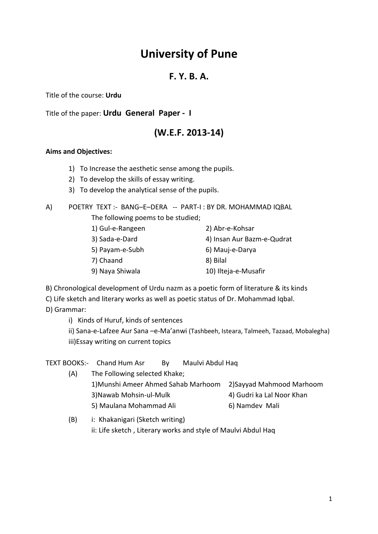### **F. Y. B. A.**

Title of the course: **Urdu**

Title of the paper: **Urdu General Paper - I**

## **(W.E.F. 2013-14)**

#### **Aims and Objectives:**

- 1) To Increase the aesthetic sense among the pupils.
- 2) To develop the skills of essay writing.
- 3) To develop the analytical sense of the pupils.

### A) POETRY TEXT :- BANG–E–DERA -- PART-I : BY DR. MOHAMMAD IQBAL

The following poems to be studied;

| 1) Gul-e-Rangeen | 2) Abr-e-Kohsar            |
|------------------|----------------------------|
| 3) Sada-e-Dard   | 4) Insan Aur Bazm-e-Qudrat |
| 5) Payam-e-Subh  | 6) Mauj-e-Darya            |
| 7) Chaand        | 8) Bilal                   |
| 9) Naya Shiwala  | 10) Ilteja-e-Musafir       |

B) Chronological development of Urdu nazm as a poetic form of literature & its kinds

C) Life sketch and literary works as well as poetic status of Dr. Mohammad Iqbal. D) Grammar:

i) Kinds of Huruf, kinds of sentences

ii) Sana-e-Lafzee Aur Sana –e-Ma'anwi (Tashbeeh, Isteara, Talmeeh, Tazaad, Mobalegha) iii)Essay writing on current topics

|     | TEXT BOOKS:- Chand Hum Asr          | Bv | Maulvi Abdul Haq |                           |
|-----|-------------------------------------|----|------------------|---------------------------|
| (A) | The Following selected Khake;       |    |                  |                           |
|     | 1) Munshi Ameer Ahmed Sahab Marhoom |    |                  | 2) Sayyad Mahmood Marhoom |
|     | 3) Nawab Mohsin-ul-Mulk             |    |                  | 4) Gudri ka Lal Noor Khan |
|     | 5) Maulana Mohammad Ali             |    |                  | 6) Namdev Mali            |
| (B) | i: Khakanigari (Sketch writing)     |    |                  |                           |

#### (B) i: Khakanigari (Sketch writing) ii: Life sketch , Literary works and style of Maulvi Abdul Haq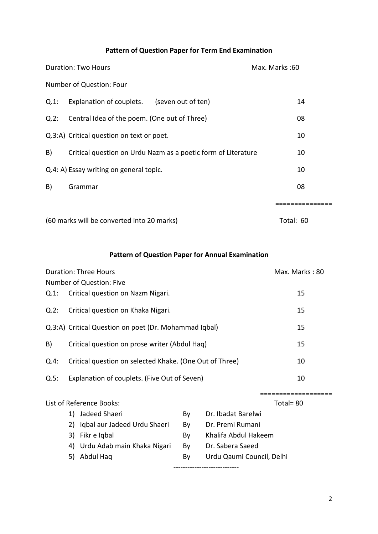### **Pattern of Question Paper for Term End Examination**

| <b>Duration: Two Hours</b> |                                                               | Max. Marks: 60 |
|----------------------------|---------------------------------------------------------------|----------------|
|                            | Number of Question: Four                                      |                |
| Q.1:                       | Explanation of couplets. (seven out of ten)                   | 14             |
| Q.2:                       | Central Idea of the poem. (One out of Three)                  | 08             |
|                            | Q.3:A) Critical question on text or poet.                     | 10             |
| B)                         | Critical question on Urdu Nazm as a poetic form of Literature | 10             |
|                            | Q.4: A) Essay writing on general topic.                       | 10             |
| B)                         | Grammar                                                       | 08             |
|                            |                                                               |                |
|                            | (60 marks will be converted into 20 marks)                    | Total: 60      |

**Pattern of Question Paper for Annual Examination**

|      |                                                         | <b>Duration: Three Hours</b>                          |    |                           | Max. Marks: 80 |
|------|---------------------------------------------------------|-------------------------------------------------------|----|---------------------------|----------------|
|      |                                                         | Number of Question: Five                              |    |                           |                |
| Q.1: |                                                         | Critical question on Nazm Nigari.                     |    |                           | 15             |
| Q.2: |                                                         | Critical question on Khaka Nigari.                    |    |                           | 15             |
|      |                                                         | Q.3:A) Critical Question on poet (Dr. Mohammad Iqbal) |    |                           | 15             |
| B)   |                                                         | Critical question on prose writer (Abdul Haq)         |    |                           | 15             |
| Q.4: | Critical question on selected Khake. (One Out of Three) |                                                       | 10 |                           |                |
| Q.5: |                                                         | Explanation of couplets. (Five Out of Seven)          |    |                           | 10             |
|      |                                                         |                                                       |    |                           |                |
|      |                                                         | List of Reference Books:                              |    |                           | Total=80       |
|      |                                                         | 1) Jadeed Shaeri                                      | By | Dr. Ibadat Barelwi        |                |
|      |                                                         | 2) Iqbal aur Jadeed Urdu Shaeri                       | By | Dr. Premi Rumani          |                |
|      |                                                         | 3) Fikr e Iqbal                                       | By | Khalifa Abdul Hakeem      |                |
|      |                                                         | 4) Urdu Adab main Khaka Nigari                        | By | Dr. Sabera Saeed          |                |
|      | 5)                                                      | Abdul Haq                                             | By | Urdu Qaumi Council, Delhi |                |
|      |                                                         |                                                       |    |                           |                |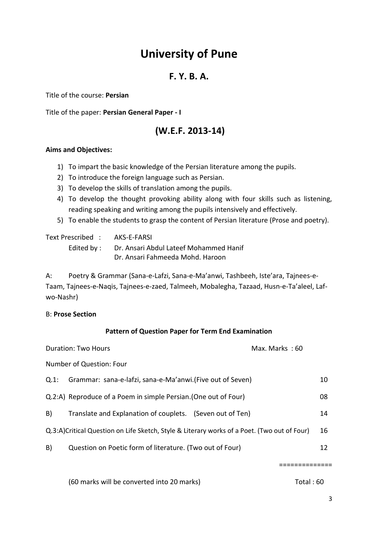### **F. Y. B. A.**

Title of the course: **Persian**

Title of the paper: **Persian General Paper - I**

## **(W.E.F. 2013-14)**

#### **Aims and Objectives:**

- 1) To impart the basic knowledge of the Persian literature among the pupils.
- 2) To introduce the foreign language such as Persian.
- 3) To develop the skills of translation among the pupils.
- 4) To develop the thought provoking ability along with four skills such as listening, reading speaking and writing among the pupils intensively and effectively.
- 5) To enable the students to grasp the content of Persian literature (Prose and poetry).

Text Prescribed : AKS-E-FARSI

Edited by : Dr. Ansari Abdul Lateef Mohammed Hanif Dr. Ansari Fahmeeda Mohd. Haroon

A: Poetry & Grammar (Sana-e-Lafzi, Sana-e-Ma'anwi, Tashbeeh, Iste'ara, Tajnees-e-Taam, Tajnees-e-Naqis, Tajnees-e-zaed, Talmeeh, Mobalegha, Tazaad, Husn-e-Ta'aleel, Lafwo-Nashr)

#### B: **Prose Section**

### **Pattern of Question Paper for Term End Examination**

|      | <b>Duration: Two Hours</b>                                                                  | Max. Marks: 60 |    |
|------|---------------------------------------------------------------------------------------------|----------------|----|
|      | Number of Question: Four                                                                    |                |    |
| Q.1: | Grammar: sana-e-lafzi, sana-e-Ma'anwi. (Five out of Seven)                                  |                | 10 |
|      | Q.2:A) Reproduce of a Poem in simple Persian. (One out of Four)                             |                | 08 |
| B)   | Translate and Explanation of couplets. (Seven out of Ten)                                   |                | 14 |
|      | Q.3:A)Critical Question on Life Sketch, Style & Literary works of a Poet. (Two out of Four) |                | 16 |
| B)   | Question on Poetic form of literature. (Two out of Four)                                    |                | 12 |
|      |                                                                                             |                |    |

==============

(60 marks will be converted into 20 marks) Total : 60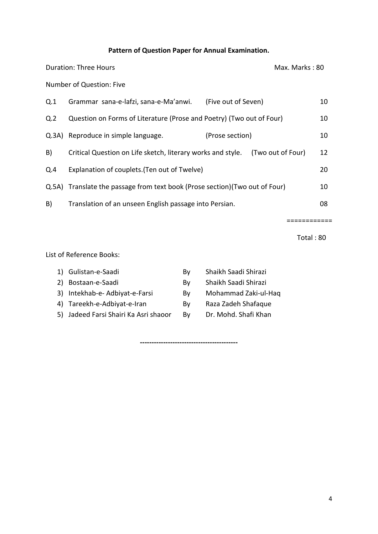### **Pattern of Question Paper for Annual Examination.**

| Duration: Three Hours |                                                                              | Max. Marks: 80      |                   |    |
|-----------------------|------------------------------------------------------------------------------|---------------------|-------------------|----|
|                       | Number of Question: Five                                                     |                     |                   |    |
| Q.1                   | Grammar sana-e-lafzi, sana-e-Ma'anwi.                                        | (Five out of Seven) |                   | 10 |
| Q <sub>2</sub>        | Question on Forms of Literature (Prose and Poetry) (Two out of Four)         |                     |                   | 10 |
|                       | Q.3A) Reproduce in simple language.                                          | (Prose section)     |                   | 10 |
| B)                    | Critical Question on Life sketch, literary works and style.                  |                     | (Two out of Four) | 12 |
| Q.4                   | Explanation of couplets. (Ten out of Twelve)                                 |                     |                   | 20 |
|                       | Q.5A) Translate the passage from text book (Prose section) (Two out of Four) |                     |                   | 10 |
| B)                    | Translation of an unseen English passage into Persian.                       |                     |                   | 08 |
|                       |                                                                              |                     |                   |    |

Total : 80

============

List of Reference Books:

| 1) Gulistan-e-Saadi                   | Bv | Shaikh Saadi Shirazi |
|---------------------------------------|----|----------------------|
| 2) Bostaan-e-Saadi                    | Bv | Shaikh Saadi Shirazi |
| 3) Intekhab-e-Adbiyat-e-Farsi         | Bv | Mohammad Zaki-ul-Haq |
| 4) Tareekh-e-Adbiyat-e-Iran           | Bv | Raza Zadeh Shafaque  |
| 5) Jadeed Farsi Shairi Ka Asri shaoor | Bv | Dr. Mohd. Shafi Khan |
|                                       |    |                      |

**------------------------------------------**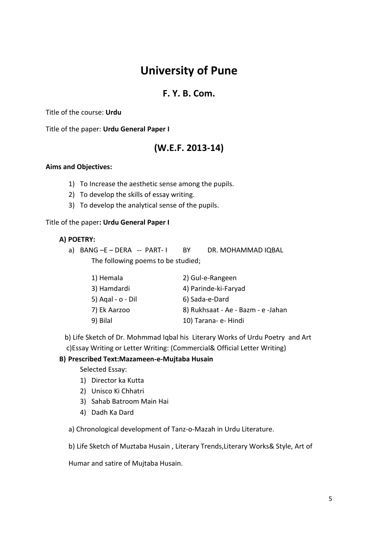### **F. Y. B. Com.**

### Title of the course: **Urdu**

Title of the paper: **Urdu General Paper I**

### **(W.E.F. 2013-14)**

#### **Aims and Objectives:**

- 1) To Increase the aesthetic sense among the pupils.
- 2) To develop the skills of essay writing.
- 3) To develop the analytical sense of the pupils.

#### Title of the paper**: Urdu General Paper I**

#### **A) POETRY:**

a) BANG-E-DERA -- PART-I BY DR. MOHAMMAD IQBAL The following poems to be studied;

| 1) Hemala         | 2) Gul-e-Rangeen                   |
|-------------------|------------------------------------|
| 3) Hamdardi       | 4) Parinde-ki-Faryad               |
| 5) Agal - o - Dil | 6) Sada-e-Dard                     |
| 7) Ek Aarzoo      | 8) Rukhsaat - Ae - Bazm - e -Jahan |
| 9) Bilal          | 10) Tarana- e- Hindi               |

 b) Life Sketch of Dr. Mohmmad Iqbal his Literary Works of Urdu Poetry and Art c)Essay Writing or Letter Writing: (Commercial& Official Letter Writing)

### **B) Prescribed Text:Mazameen-e-Mujtaba Husain**

Selected Essay:

- 1) Director ka Kutta
- 2) Unisco Ki Chhatri
- 3) Sahab Batroom Main Hai
- 4) Dadh Ka Dard

a) Chronological development of Tanz-o-Mazah in Urdu Literature.

b) Life Sketch of Muztaba Husain , Literary Trends,Literary Works& Style, Art of

Humar and satire of Mujtaba Husain.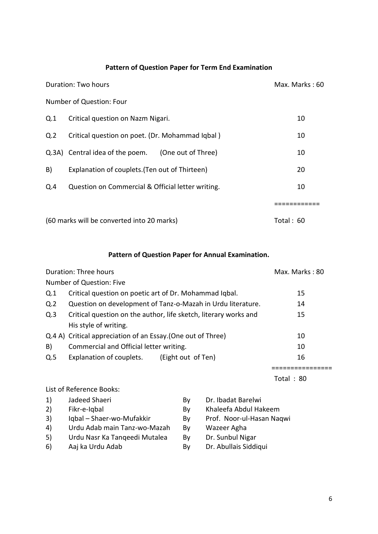### **Pattern of Question Paper for Term End Examination**

|     | Duration: Two hours                                   | Max. Marks: 60 |
|-----|-------------------------------------------------------|----------------|
|     | Number of Question: Four                              |                |
| Q.1 | Critical question on Nazm Nigari.                     | 10             |
| Q.2 | Critical question on poet. (Dr. Mohammad Iqbal)       | 10             |
|     | Q.3A) Central idea of the poem.<br>(One out of Three) | 10             |
| B)  | Explanation of couplets. (Ten out of Thirteen)        | 20             |
| Q.4 | Question on Commercial & Official letter writing.     | 10             |
|     |                                                       |                |
|     | (60 marks will be converted into 20 marks)            | Total: 60      |

#### **Pattern of Question Paper for Annual Examination.**

|                | Duration: Three hours                                            | Max. Marks: 80 |
|----------------|------------------------------------------------------------------|----------------|
|                | Number of Question: Five                                         |                |
| Q.1            | Critical question on poetic art of Dr. Mohammad Iqbal.           | 15             |
| Q <sub>2</sub> | Question on development of Tanz-o-Mazah in Urdu literature.      | 14             |
| Q.3            | Critical question on the author, life sketch, literary works and | 15             |
|                | His style of writing.                                            |                |
|                | Q.4 A) Critical appreciation of an Essay. (One out of Three)     | 10             |
| B)             | Commercial and Official letter writing.                          | 10             |
| Q.5            | Explanation of couplets. (Eight out of Ten)                      | 16             |
|                |                                                                  | Total: 80      |

List of Reference Books:

1) Jadeed Shaeri By Dr. Ibadat Barelwi 2) Fikr-e-Iqbal By Khaleefa Abdul Hakeem 3) Iqbal – Shaer-wo-Mufakkir By Prof. Noor-ul-Hasan Naqwi 4) Urdu Adab main Tanz-wo-Mazah By Wazeer Agha 5) Urdu Nasr Ka Tanqeedi Mutalea By Dr. Sunbul Nigar 6) Aaj ka Urdu Adab By Dr. Abullais Siddiqui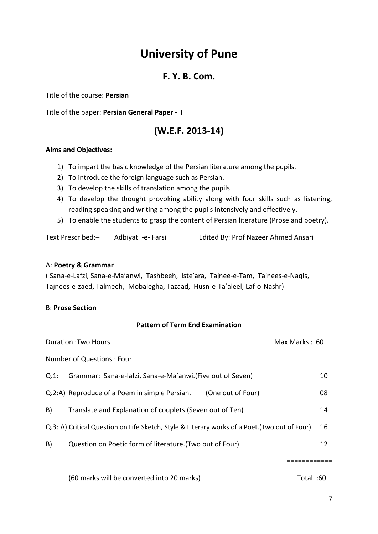### **F. Y. B. Com.**

Title of the course: **Persian**

Title of the paper: **Persian General Paper - I**

## **(W.E.F. 2013-14)**

### **Aims and Objectives:**

- 1) To impart the basic knowledge of the Persian literature among the pupils.
- 2) To introduce the foreign language such as Persian.
- 3) To develop the skills of translation among the pupils.
- 4) To develop the thought provoking ability along with four skills such as listening, reading speaking and writing among the pupils intensively and effectively.
- 5) To enable the students to grasp the content of Persian literature (Prose and poetry).

Text Prescribed:– Adbiyat -e- Farsi Edited By: Prof Nazeer Ahmed Ansari

#### A: **Poetry & Grammar**

( Sana-e-Lafzi, Sana-e-Ma'anwi, Tashbeeh, Iste'ara, Tajnee-e-Tam, Tajnees-e-Naqis, Tajnees-e-zaed, Talmeeh, Mobalegha, Tazaad, Husn-e-Ta'aleel, Laf-o-Nashr)

#### B: **Prose Section**

### **Pattern of Term End Examination**

|      | <b>Duration: Two Hours</b>                                                                    |                   | Max Marks: 60 |    |
|------|-----------------------------------------------------------------------------------------------|-------------------|---------------|----|
|      | Number of Questions: Four                                                                     |                   |               |    |
| Q.1: | Grammar: Sana-e-lafzi, Sana-e-Ma'anwi.(Five out of Seven)                                     |                   |               | 10 |
|      | Q.2:A) Reproduce of a Poem in simple Persian.                                                 | (One out of Four) |               | 08 |
| B)   | Translate and Explanation of couplets. (Seven out of Ten)                                     |                   |               | 14 |
|      | Q.3: A) Critical Question on Life Sketch, Style & Literary works of a Poet. (Two out of Four) |                   |               | 16 |
| B)   | Question on Poetic form of literature. (Two out of Four)                                      |                   |               | 12 |
|      |                                                                                               |                   |               |    |

============

(60 marks will be converted into 20 marks) Total :60